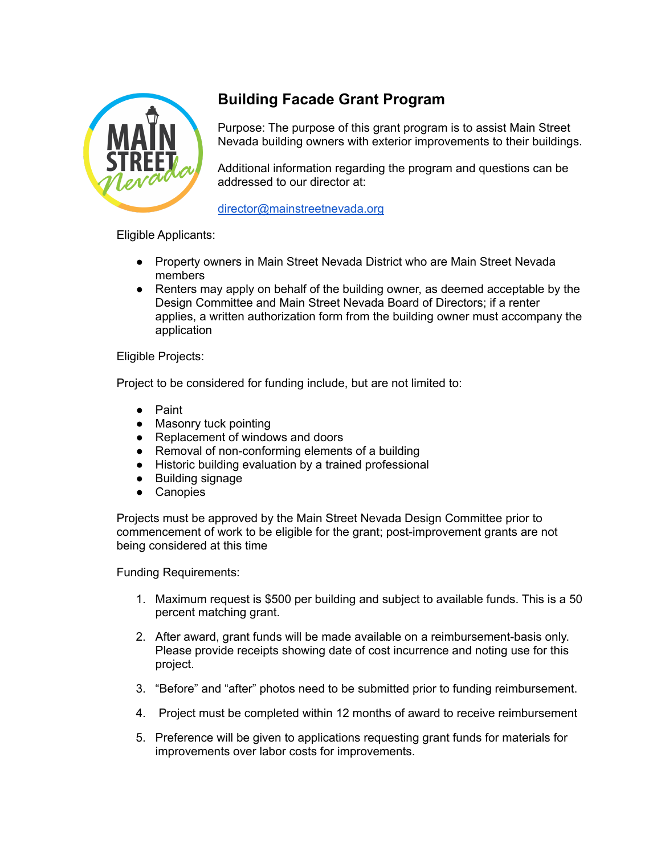

# **Building Facade Grant Program**

Purpose: The purpose of this grant program is to assist Main Street Nevada building owners with exterior improvements to their buildings.

Additional information regarding the program and questions can be addressed to our director at:

[director@mainstreetnevada.org](mailto:director@mainstreetnevada.org)

Eligible Applicants:

- Property owners in Main Street Nevada District who are Main Street Nevada members
- Renters may apply on behalf of the building owner, as deemed acceptable by the Design Committee and Main Street Nevada Board of Directors; if a renter applies, a written authorization form from the building owner must accompany the application

Eligible Projects:

Project to be considered for funding include, but are not limited to:

- **Paint**
- Masonry tuck pointing
- Replacement of windows and doors
- Removal of non-conforming elements of a building
- Historic building evaluation by a trained professional
- Building signage
- Canopies

Projects must be approved by the Main Street Nevada Design Committee prior to commencement of work to be eligible for the grant; post-improvement grants are not being considered at this time

Funding Requirements:

- 1. Maximum request is \$500 per building and subject to available funds. This is a 50 percent matching grant.
- 2. After award, grant funds will be made available on a reimbursement-basis only. Please provide receipts showing date of cost incurrence and noting use for this project.
- 3. "Before" and "after" photos need to be submitted prior to funding reimbursement.
- 4. Project must be completed within 12 months of award to receive reimbursement
- 5. Preference will be given to applications requesting grant funds for materials for improvements over labor costs for improvements.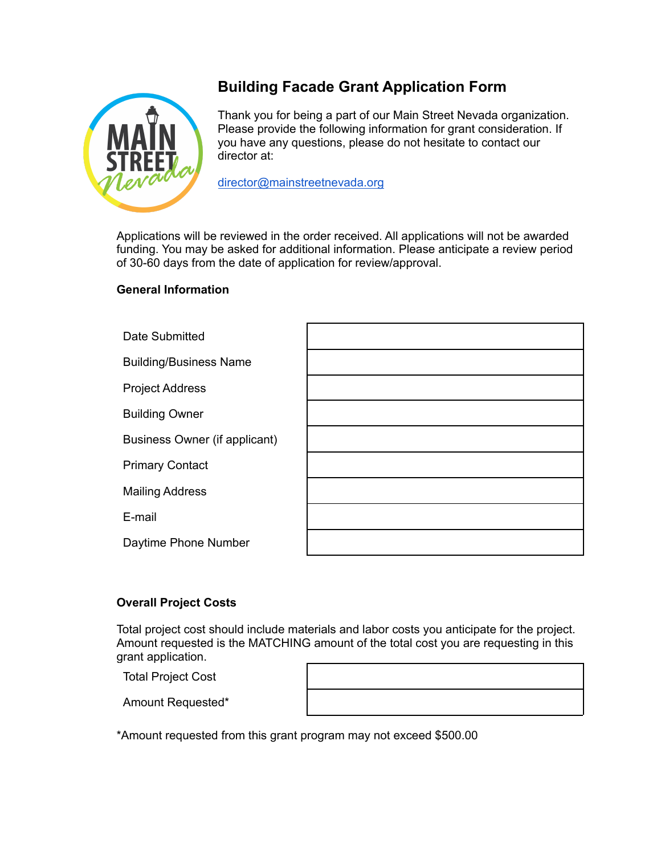

# **Building Facade Grant Application Form**

Thank you for being a part of our Main Street Nevada organization. Please provide the following information for grant consideration. If you have any questions, please do not hesitate to contact our director at:

[director@mainstreetnevada.org](mailto:director@mainstreetnevada.org)

Applications will be reviewed in the order received. All applications will not be awarded funding. You may be asked for additional information. Please anticipate a review period of 30-60 days from the date of application for review/approval.

## **General Information**

# **Overall Project Costs**

Total project cost should include materials and labor costs you anticipate for the project. Amount requested is the MATCHING amount of the total cost you are requesting in this grant application.

Total Project Cost

Amount Requested\*

\*Amount requested from this grant program may not exceed \$500.00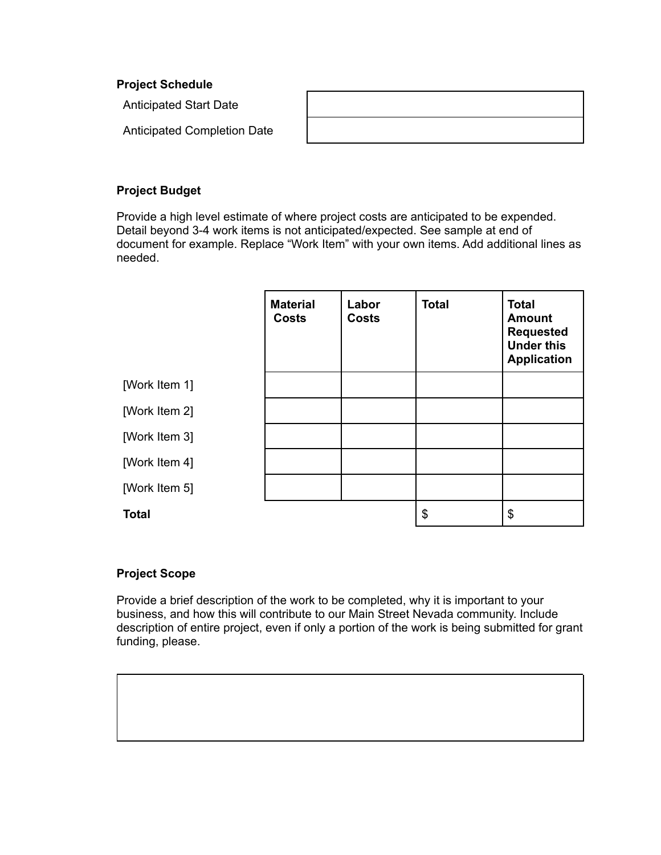#### **Project Schedule**

Anticipated Start Date

Anticipated Completion Date

## **Project Budget**

Provide a high level estimate of where project costs are anticipated to be expended. Detail beyond 3-4 work items is not anticipated/expected. See sample at end of document for example. Replace "Work Item" with your own items. Add additional lines as needed.

|               | <b>Material</b><br><b>Costs</b> | Labor<br><b>Costs</b> | <b>Total</b> | <b>Total</b><br><b>Amount</b><br><b>Requested</b><br><b>Under this</b><br><b>Application</b> |
|---------------|---------------------------------|-----------------------|--------------|----------------------------------------------------------------------------------------------|
| [Work Item 1] |                                 |                       |              |                                                                                              |
| [Work Item 2] |                                 |                       |              |                                                                                              |
| [Work Item 3] |                                 |                       |              |                                                                                              |
| [Work Item 4] |                                 |                       |              |                                                                                              |
| [Work Item 5] |                                 |                       |              |                                                                                              |
| <b>Total</b>  |                                 |                       | \$           | \$                                                                                           |

## **Project Scope**

Provide a brief description of the work to be completed, why it is important to your business, and how this will contribute to our Main Street Nevada community. Include description of entire project, even if only a portion of the work is being submitted for grant funding, please.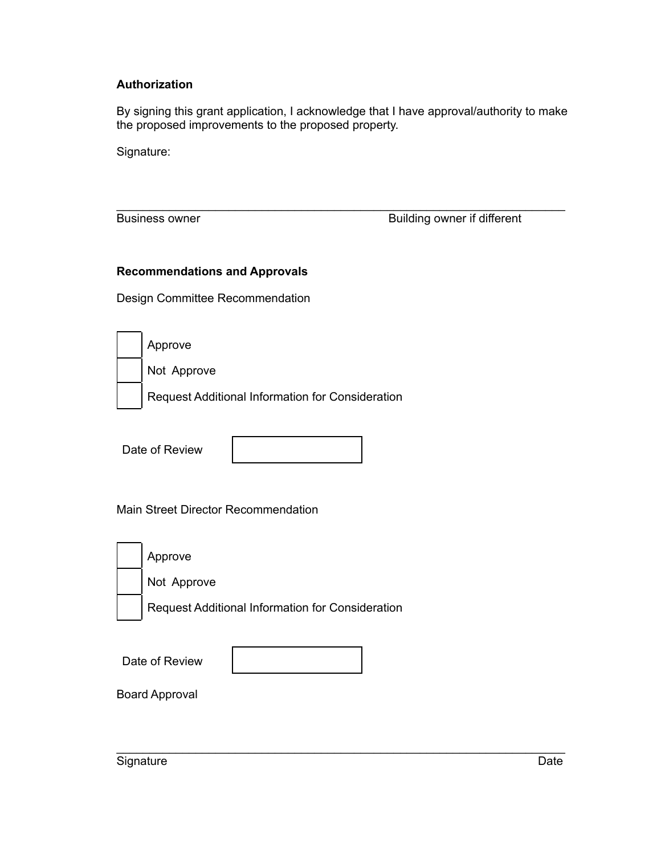# **Authorization**

By signing this grant application, I acknowledge that I have approval/authority to make the proposed improvements to the proposed property.

\_\_\_\_\_\_\_\_\_\_\_\_\_\_\_\_\_\_\_\_\_\_\_\_\_\_\_\_\_\_\_\_\_\_\_\_\_\_\_\_\_\_\_\_\_\_\_\_\_\_\_\_\_\_\_\_\_\_\_\_\_\_\_\_\_\_\_\_

Signature:

Business owner **Building** owner if different

#### **Recommendations and Approvals**

Design Committee Recommendation

| Approve                                          |
|--------------------------------------------------|
| Not Approve                                      |
| Request Additional Information for Consideration |

Date of Review



\_\_\_\_\_\_\_\_\_\_\_\_\_\_\_\_\_\_\_\_\_\_\_\_\_\_\_\_\_\_\_\_\_\_\_\_\_\_\_\_\_\_\_\_\_\_\_\_\_\_\_\_\_\_\_\_\_\_\_\_\_\_\_\_\_\_\_\_

## Main Street Director Recommendation

| Approve                                          |
|--------------------------------------------------|
| Not Approve                                      |
| Request Additional Information for Consideration |
|                                                  |

| Date of Review |  |
|----------------|--|
|----------------|--|

Board Approval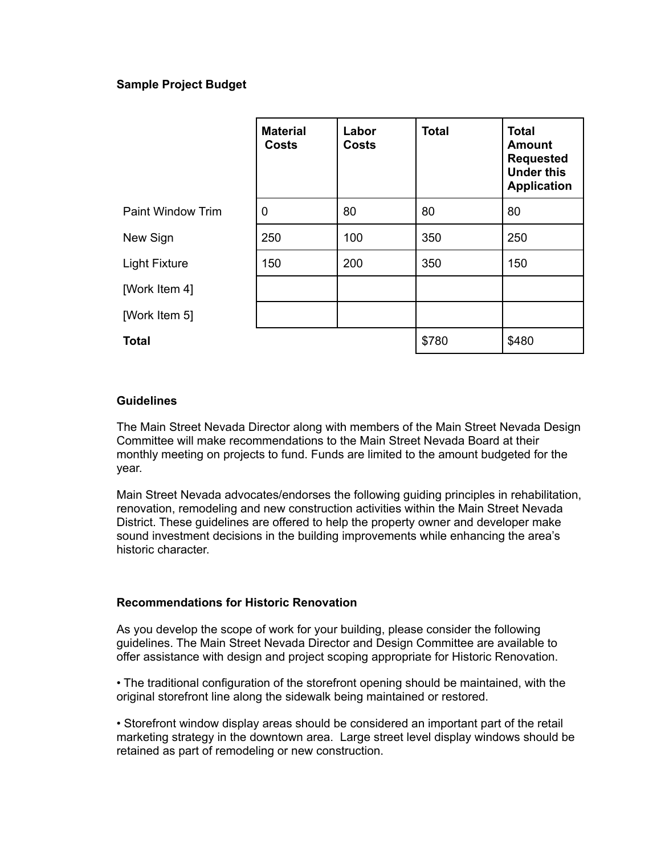## **Sample Project Budget**

|                          | <b>Material</b><br><b>Costs</b> | Labor<br><b>Costs</b> | <b>Total</b> | <b>Total</b><br><b>Amount</b><br><b>Requested</b><br><b>Under this</b><br><b>Application</b> |
|--------------------------|---------------------------------|-----------------------|--------------|----------------------------------------------------------------------------------------------|
| <b>Paint Window Trim</b> | 0                               | 80                    | 80           | 80                                                                                           |
| New Sign                 | 250                             | 100                   | 350          | 250                                                                                          |
| <b>Light Fixture</b>     | 150                             | 200                   | 350          | 150                                                                                          |
| [Work Item 4]            |                                 |                       |              |                                                                                              |
| [Work Item 5]            |                                 |                       |              |                                                                                              |
| <b>Total</b>             |                                 |                       | \$780        | \$480                                                                                        |

#### **Guidelines**

The Main Street Nevada Director along with members of the Main Street Nevada Design Committee will make recommendations to the Main Street Nevada Board at their monthly meeting on projects to fund. Funds are limited to the amount budgeted for the year.

Main Street Nevada advocates/endorses the following guiding principles in rehabilitation, renovation, remodeling and new construction activities within the Main Street Nevada District. These guidelines are offered to help the property owner and developer make sound investment decisions in the building improvements while enhancing the area's historic character.

## **Recommendations for Historic Renovation**

As you develop the scope of work for your building, please consider the following guidelines. The Main Street Nevada Director and Design Committee are available to offer assistance with design and project scoping appropriate for Historic Renovation.

• The traditional configuration of the storefront opening should be maintained, with the original storefront line along the sidewalk being maintained or restored.

• Storefront window display areas should be considered an important part of the retail marketing strategy in the downtown area. Large street level display windows should be retained as part of remodeling or new construction.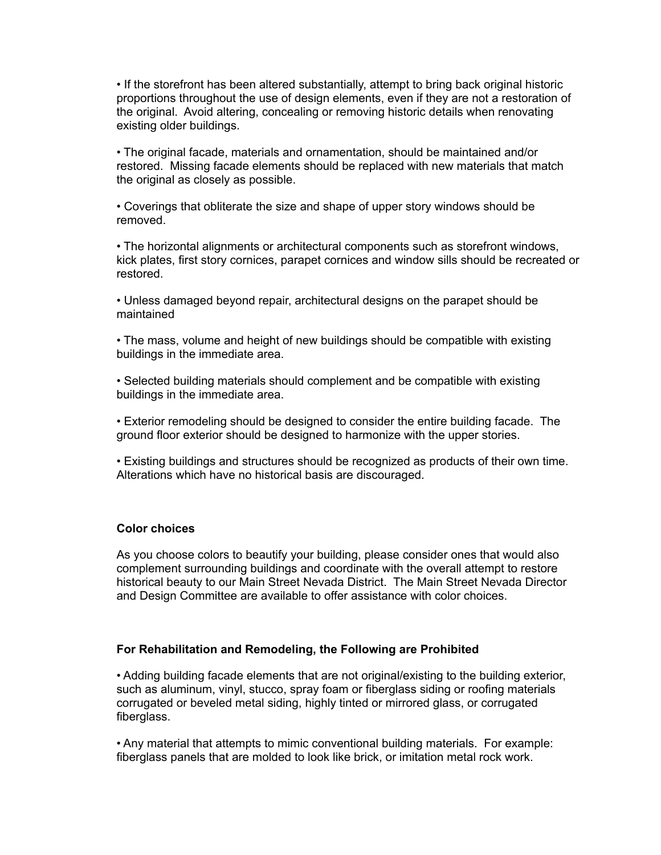• If the storefront has been altered substantially, attempt to bring back original historic proportions throughout the use of design elements, even if they are not a restoration of the original. Avoid altering, concealing or removing historic details when renovating existing older buildings.

• The original facade, materials and ornamentation, should be maintained and/or restored. Missing facade elements should be replaced with new materials that match the original as closely as possible.

• Coverings that obliterate the size and shape of upper story windows should be removed.

• The horizontal alignments or architectural components such as storefront windows, kick plates, first story cornices, parapet cornices and window sills should be recreated or restored.

• Unless damaged beyond repair, architectural designs on the parapet should be maintained

• The mass, volume and height of new buildings should be compatible with existing buildings in the immediate area.

• Selected building materials should complement and be compatible with existing buildings in the immediate area.

• Exterior remodeling should be designed to consider the entire building facade. The ground floor exterior should be designed to harmonize with the upper stories.

• Existing buildings and structures should be recognized as products of their own time. Alterations which have no historical basis are discouraged.

#### **Color choices**

As you choose colors to beautify your building, please consider ones that would also complement surrounding buildings and coordinate with the overall attempt to restore historical beauty to our Main Street Nevada District. The Main Street Nevada Director and Design Committee are available to offer assistance with color choices.

#### **For Rehabilitation and Remodeling, the Following are Prohibited**

• Adding building facade elements that are not original/existing to the building exterior, such as aluminum, vinyl, stucco, spray foam or fiberglass siding or roofing materials corrugated or beveled metal siding, highly tinted or mirrored glass, or corrugated fiberglass.

• Any material that attempts to mimic conventional building materials. For example: fiberglass panels that are molded to look like brick, or imitation metal rock work.